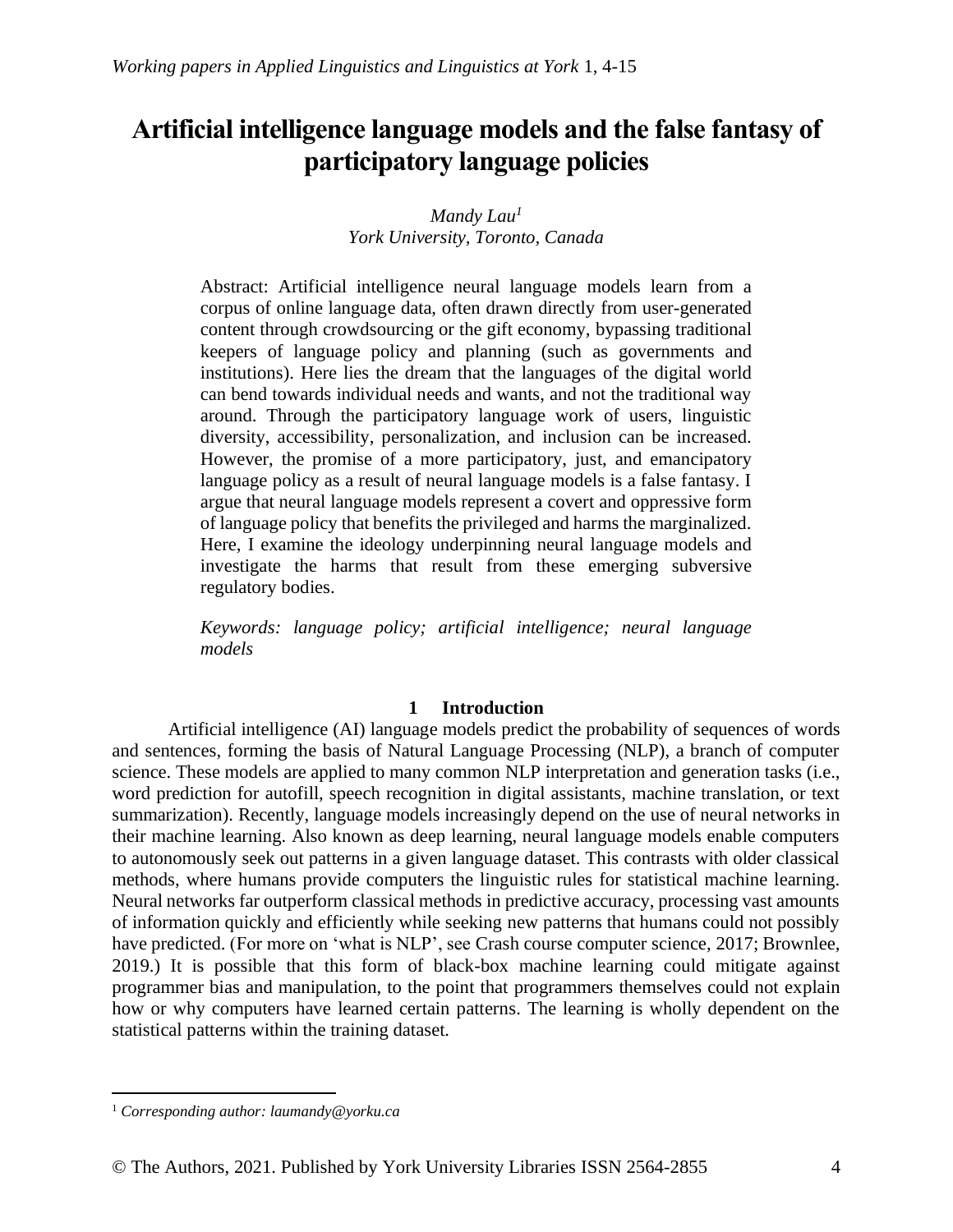# **Artificial intelligence language models and the false fantasy of participatory language policies**

# *Mandy Lau<sup>1</sup> York University, Toronto, Canada*

Abstract: Artificial intelligence neural language models learn from a corpus of online language data, often drawn directly from user-generated content through crowdsourcing or the gift economy, bypassing traditional keepers of language policy and planning (such as governments and institutions). Here lies the dream that the languages of the digital world can bend towards individual needs and wants, and not the traditional way around. Through the participatory language work of users, linguistic diversity, accessibility, personalization, and inclusion can be increased. However, the promise of a more participatory, just, and emancipatory language policy as a result of neural language models is a false fantasy. I argue that neural language models represent a covert and oppressive form of language policy that benefits the privileged and harms the marginalized. Here, I examine the ideology underpinning neural language models and investigate the harms that result from these emerging subversive regulatory bodies.

*Keywords: language policy; artificial intelligence; neural language models*

## **1 Introduction**

Artificial intelligence (AI) language models predict the probability of sequences of words and sentences, forming the basis of Natural Language Processing (NLP), a branch of computer science. These models are applied to many common NLP interpretation and generation tasks (i.e., word prediction for autofill, speech recognition in digital assistants, machine translation, or text summarization). Recently, language models increasingly depend on the use of neural networks in their machine learning. Also known as deep learning, neural language models enable computers to autonomously seek out patterns in a given language dataset. This contrasts with older classical methods, where humans provide computers the linguistic rules for statistical machine learning. Neural networks far outperform classical methods in predictive accuracy, processing vast amounts of information quickly and efficiently while seeking new patterns that humans could not possibly have predicted. (For more on 'what is NLP', see Crash course computer science, 2017; Brownlee, 2019.) It is possible that this form of black-box machine learning could mitigate against programmer bias and manipulation, to the point that programmers themselves could not explain how or why computers have learned certain patterns. The learning is wholly dependent on the statistical patterns within the training dataset.

<sup>1</sup> *Corresponding author: laumandy@yorku.ca*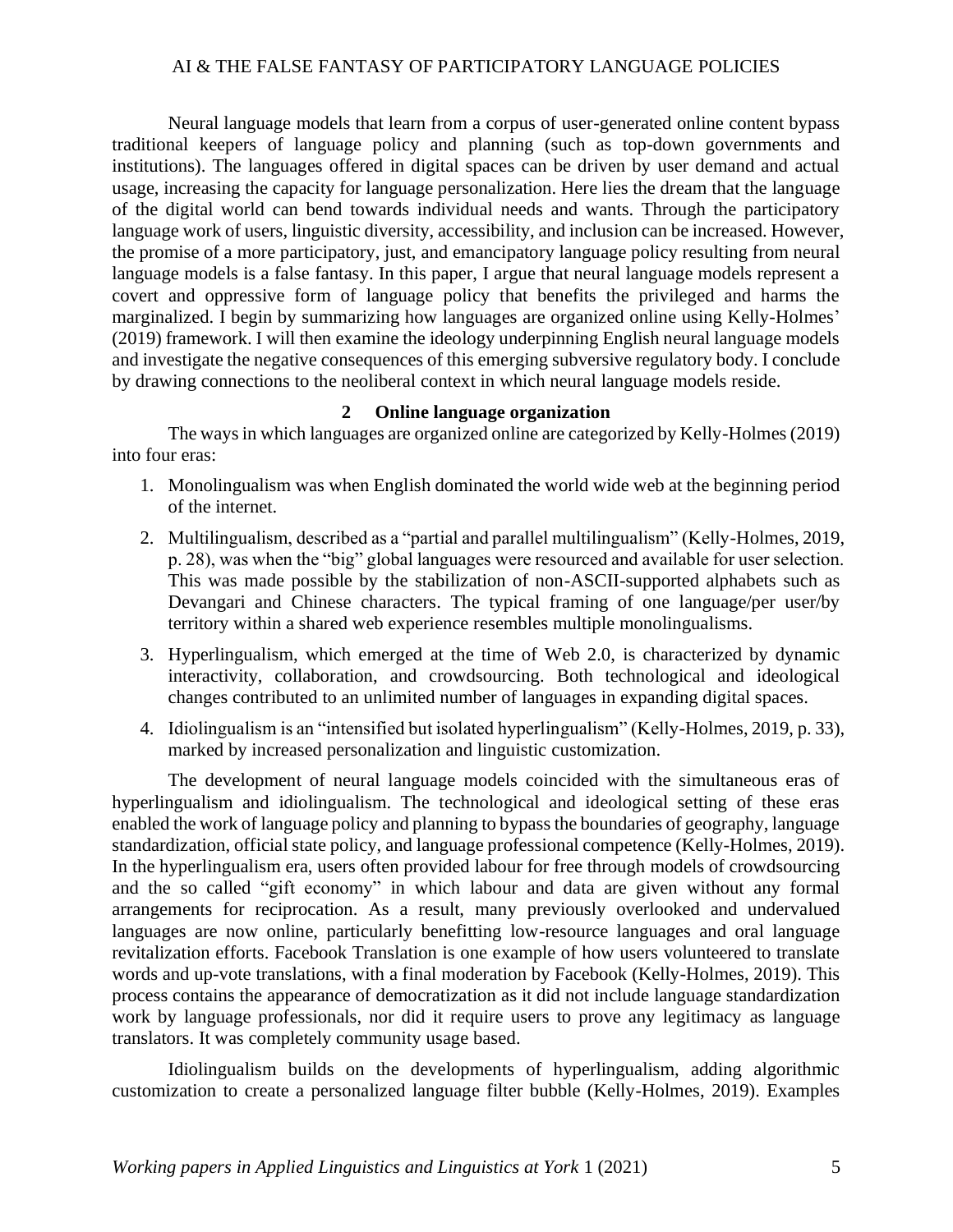Neural language models that learn from a corpus of user-generated online content bypass traditional keepers of language policy and planning (such as top-down governments and institutions). The languages offered in digital spaces can be driven by user demand and actual usage, increasing the capacity for language personalization. Here lies the dream that the language of the digital world can bend towards individual needs and wants. Through the participatory language work of users, linguistic diversity, accessibility, and inclusion can be increased. However, the promise of a more participatory, just, and emancipatory language policy resulting from neural language models is a false fantasy. In this paper, I argue that neural language models represent a covert and oppressive form of language policy that benefits the privileged and harms the marginalized. I begin by summarizing how languages are organized online using Kelly-Holmes' (2019) framework. I will then examine the ideology underpinning English neural language models and investigate the negative consequences of this emerging subversive regulatory body. I conclude by drawing connections to the neoliberal context in which neural language models reside.

## **2 Online language organization**

The ways in which languages are organized online are categorized by Kelly-Holmes (2019) into four eras:

- 1. Monolingualism was when English dominated the world wide web at the beginning period of the internet.
- 2. Multilingualism, described as a "partial and parallel multilingualism" (Kelly-Holmes, 2019, p. 28), was when the "big" global languages were resourced and available for user selection. This was made possible by the stabilization of non-ASCII-supported alphabets such as Devangari and Chinese characters. The typical framing of one language/per user/by territory within a shared web experience resembles multiple monolingualisms.
- 3. Hyperlingualism, which emerged at the time of Web 2.0, is characterized by dynamic interactivity, collaboration, and crowdsourcing. Both technological and ideological changes contributed to an unlimited number of languages in expanding digital spaces.
- 4. Idiolingualism is an "intensified but isolated hyperlingualism" (Kelly-Holmes, 2019, p. 33), marked by increased personalization and linguistic customization.

The development of neural language models coincided with the simultaneous eras of hyperlingualism and idiolingualism. The technological and ideological setting of these eras enabled the work of language policy and planning to bypass the boundaries of geography, language standardization, official state policy, and language professional competence (Kelly-Holmes, 2019). In the hyperlingualism era, users often provided labour for free through models of crowdsourcing and the so called "gift economy" in which labour and data are given without any formal arrangements for reciprocation. As a result, many previously overlooked and undervalued languages are now online, particularly benefitting low-resource languages and oral language revitalization efforts. Facebook Translation is one example of how users volunteered to translate words and up-vote translations, with a final moderation by Facebook (Kelly-Holmes, 2019). This process contains the appearance of democratization as it did not include language standardization work by language professionals, nor did it require users to prove any legitimacy as language translators. It was completely community usage based.

Idiolingualism builds on the developments of hyperlingualism, adding algorithmic customization to create a personalized language filter bubble (Kelly-Holmes, 2019). Examples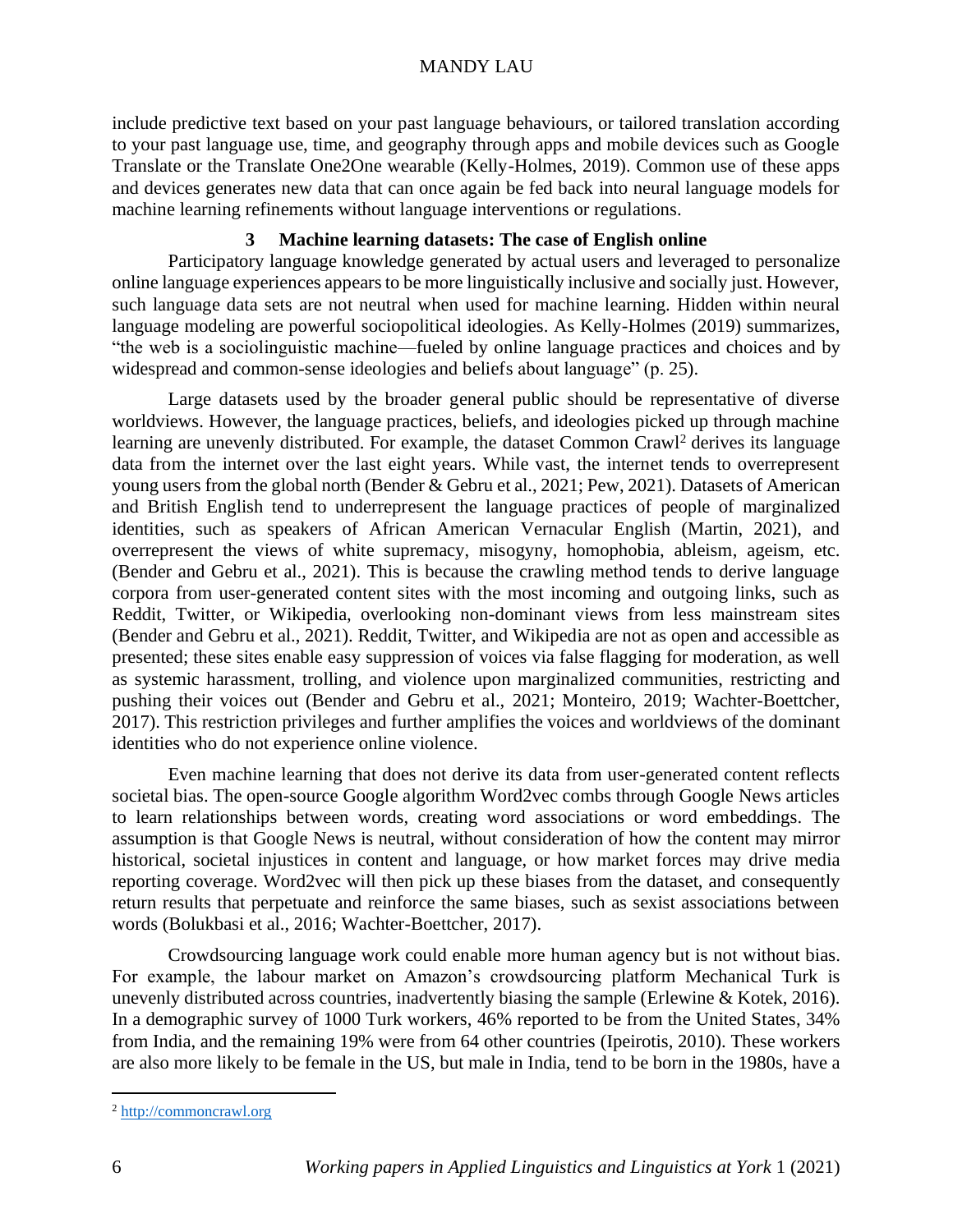include predictive text based on your past language behaviours, or tailored translation according to your past language use, time, and geography through apps and mobile devices such as Google Translate or the Translate One2One wearable (Kelly-Holmes, 2019). Common use of these apps and devices generates new data that can once again be fed back into neural language models for machine learning refinements without language interventions or regulations.

## **3 Machine learning datasets: The case of English online**

Participatory language knowledge generated by actual users and leveraged to personalize online language experiences appears to be more linguistically inclusive and socially just. However, such language data sets are not neutral when used for machine learning. Hidden within neural language modeling are powerful sociopolitical ideologies. As Kelly-Holmes (2019) summarizes, "the web is a sociolinguistic machine—fueled by online language practices and choices and by widespread and common-sense ideologies and beliefs about language" (p. 25).

Large datasets used by the broader general public should be representative of diverse worldviews. However, the language practices, beliefs, and ideologies picked up through machine learning are unevenly distributed. For example, the dataset [Common Crawl](http://commoncrawl.org/)<sup>2</sup> derives its language data from the internet over the last eight years. While vast, the internet tends to overrepresent young users from the global north (Bender & Gebru et al., 2021; Pew, 2021). Datasets of American and British English tend to underrepresent the language practices of people of marginalized identities, such as speakers of African American Vernacular English (Martin, 2021), and overrepresent the views of white supremacy, misogyny, homophobia, ableism, ageism, etc. (Bender and Gebru et al., 2021). This is because the crawling method tends to derive language corpora from user-generated content sites with the most incoming and outgoing links, such as Reddit, Twitter, or Wikipedia, overlooking non-dominant views from less mainstream sites (Bender and Gebru et al., 2021). Reddit, Twitter, and Wikipedia are not as open and accessible as presented; these sites enable easy suppression of voices via false flagging for moderation, as well as systemic harassment, trolling, and violence upon marginalized communities, restricting and pushing their voices out (Bender and Gebru et al., 2021; Monteiro, 2019; Wachter-Boettcher, 2017). This restriction privileges and further amplifies the voices and worldviews of the dominant identities who do not experience online violence.

Even machine learning that does not derive its data from user-generated content reflects societal bias. The open-source Google algorithm Word2vec combs through Google News articles to learn relationships between words, creating word associations or word embeddings. The assumption is that Google News is neutral, without consideration of how the content may mirror historical, societal injustices in content and language, or how market forces may drive media reporting coverage. Word2vec will then pick up these biases from the dataset, and consequently return results that perpetuate and reinforce the same biases, such as sexist associations between words (Bolukbasi et al., 2016; Wachter-Boettcher, 2017).

Crowdsourcing language work could enable more human agency but is not without bias. For example, the labour market on Amazon's crowdsourcing platform Mechanical Turk is unevenly distributed across countries, inadvertently biasing the sample (Erlewine & Kotek, 2016). In a demographic survey of 1000 Turk workers, 46% reported to be from the United States, 34% from India, and the remaining 19% were from 64 other countries (Ipeirotis, 2010). These workers are also more likely to be female in the US, but male in India, tend to be born in the 1980s, have a

<sup>2</sup> http://commoncrawl.org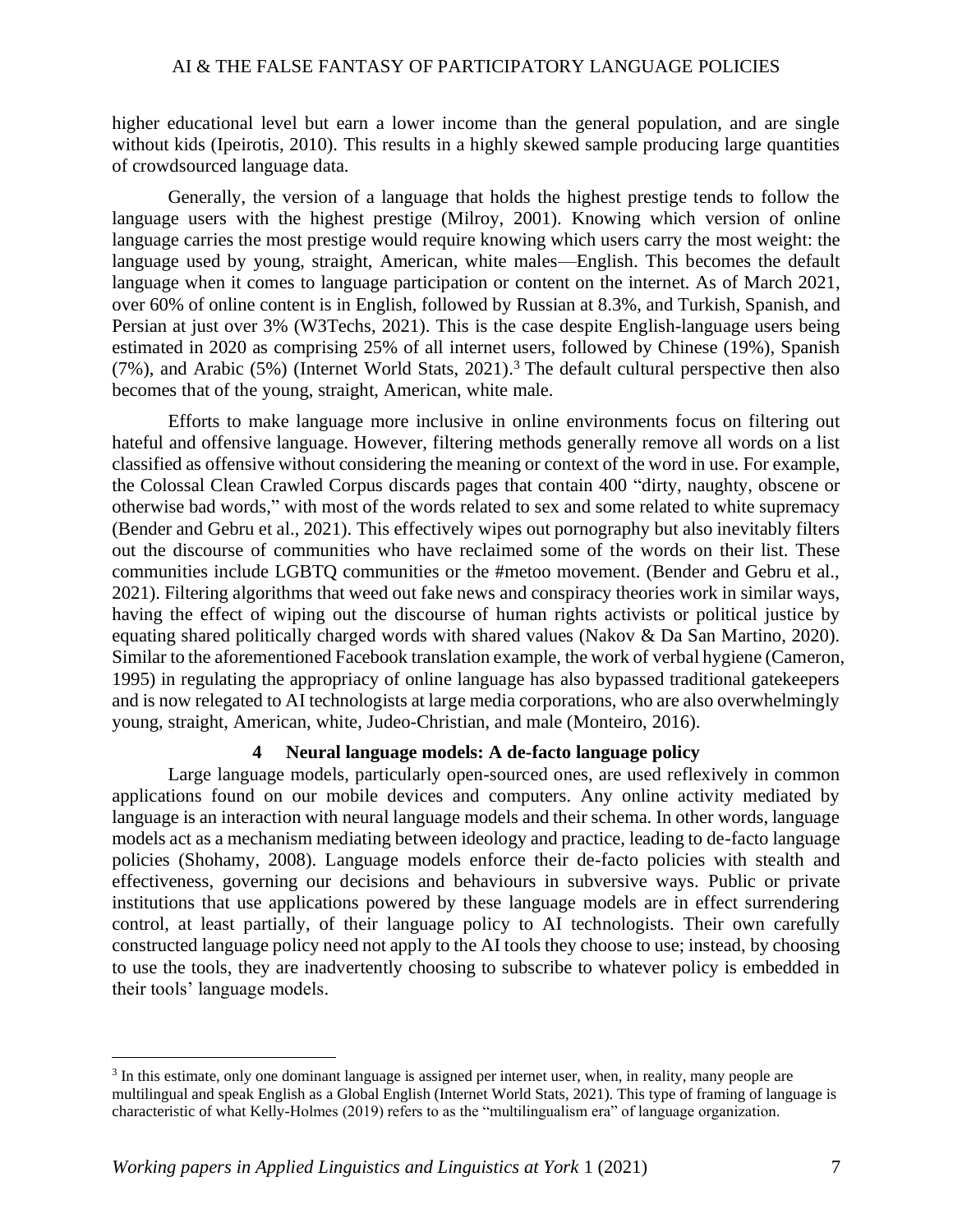higher educational level but earn a lower income than the general population, and are single without kids (Ipeirotis, 2010). This results in a highly skewed sample producing large quantities of crowdsourced language data.

Generally, the version of a language that holds the highest prestige tends to follow the language users with the highest prestige (Milroy, 2001). Knowing which version of online language carries the most prestige would require knowing which users carry the most weight: the language used by young, straight, American, white males—English. This becomes the default language when it comes to language participation or content on the internet. As of March 2021, over 60% of online content is in English, followed by Russian at 8.3%, and Turkish, Spanish, and Persian at just over 3% (W3Techs, 2021). This is the case despite English-language users being estimated in 2020 as comprising 25% of all internet users, followed by Chinese (19%), Spanish (7%), and Arabic (5%) (Internet World Stats, 2021).<sup>3</sup> The default cultural perspective then also becomes that of the young, straight, American, white male.

Efforts to make language more inclusive in online environments focus on filtering out hateful and offensive language. However, filtering methods generally remove all words on a list classified as offensive without considering the meaning or context of the word in use. For example, the Colossal Clean Crawled Corpus discards pages that contain 400 "dirty, naughty, obscene or otherwise bad words," with most of the words related to sex and some related to white supremacy (Bender and Gebru et al., 2021). This effectively wipes out pornography but also inevitably filters out the discourse of communities who have reclaimed some of the words on their list. These communities include LGBTQ communities or the #metoo movement. (Bender and Gebru et al., 2021). Filtering algorithms that weed out fake news and conspiracy theories work in similar ways, having the effect of wiping out the discourse of human rights activists or political justice by equating shared politically charged words with shared values (Nakov & Da San Martino, 2020). Similar to the aforementioned Facebook translation example, the work of verbal hygiene (Cameron, 1995) in regulating the appropriacy of online language has also bypassed traditional gatekeepers and is now relegated to AI technologists at large media corporations, who are also overwhelmingly young, straight, American, white, Judeo-Christian, and male (Monteiro, 2016).

#### **4 Neural language models: A de-facto language policy**

Large language models, particularly open-sourced ones, are used reflexively in common applications found on our mobile devices and computers. Any online activity mediated by language is an interaction with neural language models and their schema. In other words, language models act as a mechanism mediating between ideology and practice, leading to de-facto language policies (Shohamy, 2008). Language models enforce their de-facto policies with stealth and effectiveness, governing our decisions and behaviours in subversive ways. Public or private institutions that use applications powered by these language models are in effect surrendering control, at least partially, of their language policy to AI technologists. Their own carefully constructed language policy need not apply to the AI tools they choose to use; instead, by choosing to use the tools, they are inadvertently choosing to subscribe to whatever policy is embedded in their tools' language models.

<sup>&</sup>lt;sup>3</sup> In this estimate, only one dominant language is assigned per internet user, when, in reality, many people are multilingual and speak English as a Global English (Internet World Stats, 2021). This type of framing of language is characteristic of what Kelly-Holmes (2019) refers to as the "multilingualism era" of language organization.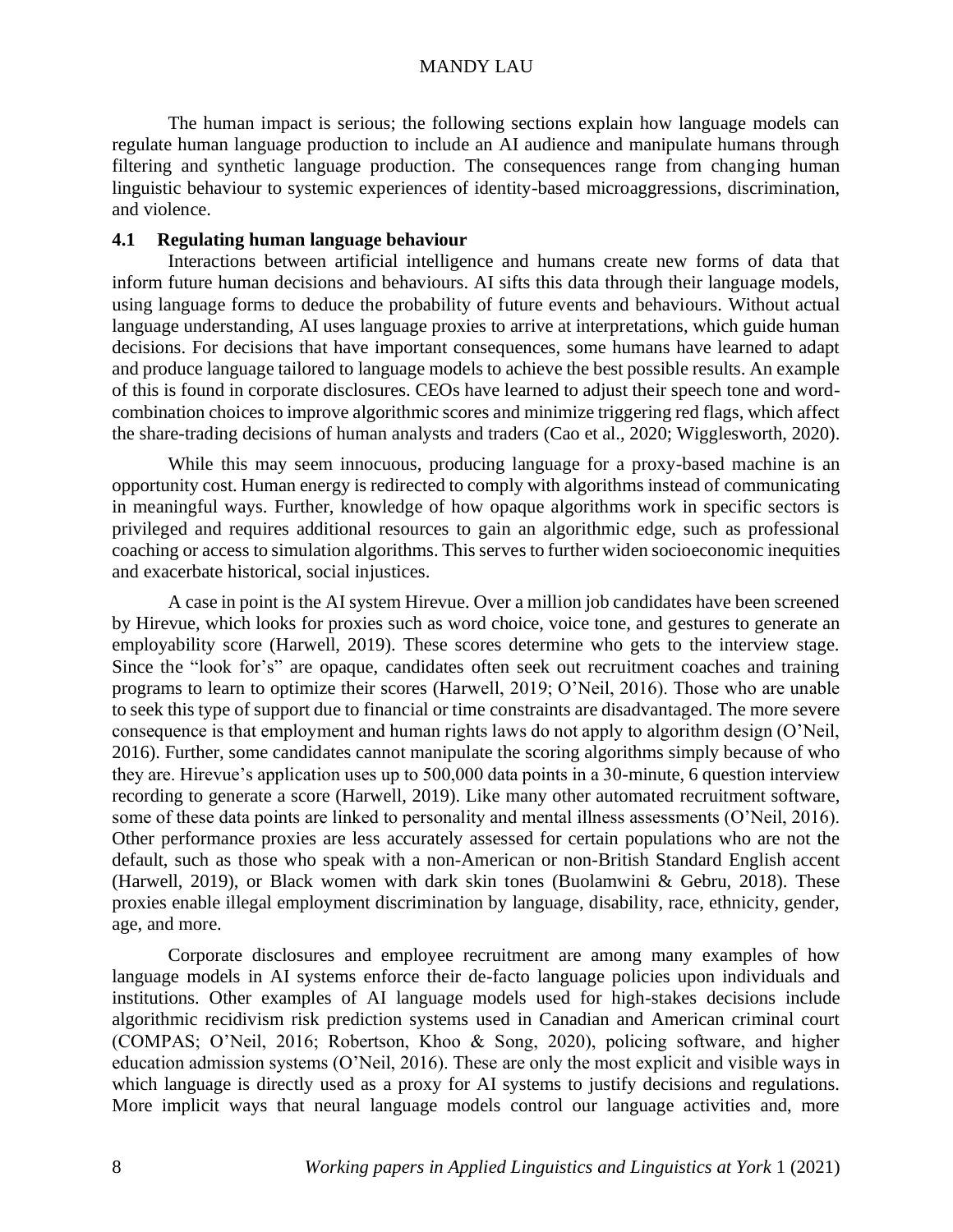The human impact is serious; the following sections explain how language models can regulate human language production to include an AI audience and manipulate humans through filtering and synthetic language production. The consequences range from changing human linguistic behaviour to systemic experiences of identity-based microaggressions, discrimination, and violence.

## **4.1 Regulating human language behaviour**

Interactions between artificial intelligence and humans create new forms of data that inform future human decisions and behaviours. AI sifts this data through their language models, using language forms to deduce the probability of future events and behaviours. Without actual language understanding, AI uses language proxies to arrive at interpretations, which guide human decisions. For decisions that have important consequences, some humans have learned to adapt and produce language tailored to language models to achieve the best possible results. An example of this is found in corporate disclosures. CEOs have learned to adjust their speech tone and wordcombination choices to improve algorithmic scores and minimize triggering red flags, which affect the share-trading decisions of human analysts and traders (Cao et al., 2020; Wigglesworth, 2020).

While this may seem innocuous, producing language for a proxy-based machine is an opportunity cost. Human energy is redirected to comply with algorithms instead of communicating in meaningful ways. Further, knowledge of how opaque algorithms work in specific sectors is privileged and requires additional resources to gain an algorithmic edge, such as professional coaching or access to simulation algorithms. This serves to further widen socioeconomic inequities and exacerbate historical, social injustices.

A case in point is the AI system Hirevue. Over a million job candidates have been screened by Hirevue, which looks for proxies such as word choice, voice tone, and gestures to generate an employability score (Harwell, 2019). These scores determine who gets to the interview stage. Since the "look for's" are opaque, candidates often seek out recruitment coaches and training programs to learn to optimize their scores (Harwell, 2019; O'Neil, 2016). Those who are unable to seek this type of support due to financial or time constraints are disadvantaged. The more severe consequence is that employment and human rights laws do not apply to algorithm design (O'Neil, 2016). Further, some candidates cannot manipulate the scoring algorithms simply because of who they are. Hirevue's application uses up to 500,000 data points in a 30-minute, 6 question interview recording to generate a score (Harwell, 2019). Like many other automated recruitment software, some of these data points are linked to personality and mental illness assessments (O'Neil, 2016). Other performance proxies are less accurately assessed for certain populations who are not the default, such as those who speak with a non-American or non-British Standard English accent (Harwell, 2019), or Black women with dark skin tones (Buolamwini & Gebru, 2018). These proxies enable illegal employment discrimination by language, disability, race, ethnicity, gender, age, and more.

Corporate disclosures and employee recruitment are among many examples of how language models in AI systems enforce their de-facto language policies upon individuals and institutions. Other examples of AI language models used for high-stakes decisions include algorithmic recidivism risk prediction systems used in Canadian and American criminal court (COMPAS; O'Neil, 2016; Robertson, Khoo & Song, 2020), policing software, and higher education admission systems (O'Neil, 2016). These are only the most explicit and visible ways in which language is directly used as a proxy for AI systems to justify decisions and regulations. More implicit ways that neural language models control our language activities and, more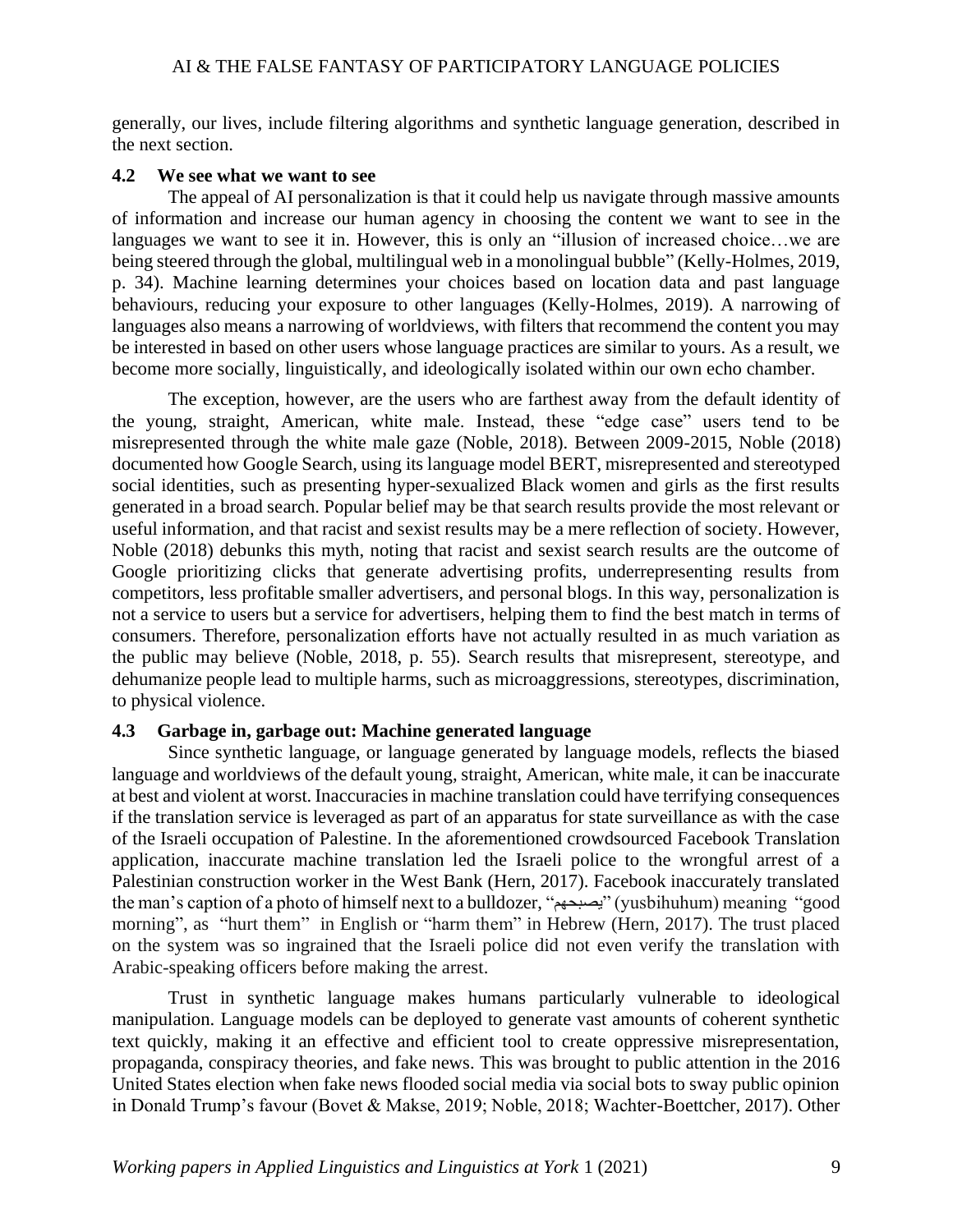generally, our lives, include filtering algorithms and synthetic language generation, described in the next section.

#### **4.2 We see what we want to see**

The appeal of AI personalization is that it could help us navigate through massive amounts of information and increase our human agency in choosing the content we want to see in the languages we want to see it in. However, this is only an "illusion of increased choice…we are being steered through the global, multilingual web in a monolingual bubble" (Kelly-Holmes, 2019, p. 34). Machine learning determines your choices based on location data and past language behaviours, reducing your exposure to other languages (Kelly-Holmes, 2019). A narrowing of languages also means a narrowing of worldviews, with filters that recommend the content you may be interested in based on other users whose language practices are similar to yours. As a result, we become more socially, linguistically, and ideologically isolated within our own echo chamber.

The exception, however, are the users who are farthest away from the default identity of the young, straight, American, white male. Instead, these "edge case" users tend to be misrepresented through the white male gaze (Noble, 2018). Between 2009-2015, Noble (2018) documented how Google Search, using its language model BERT, misrepresented and stereotyped social identities, such as presenting hyper-sexualized Black women and girls as the first results generated in a broad search. Popular belief may be that search results provide the most relevant or useful information, and that racist and sexist results may be a mere reflection of society. However, Noble (2018) debunks this myth, noting that racist and sexist search results are the outcome of Google prioritizing clicks that generate advertising profits, underrepresenting results from competitors, less profitable smaller advertisers, and personal blogs. In this way, personalization is not a service to users but a service for advertisers, helping them to find the best match in terms of consumers. Therefore, personalization efforts have not actually resulted in as much variation as the public may believe (Noble, 2018, p. 55). Search results that misrepresent, stereotype, and dehumanize people lead to multiple harms, such as microaggressions, stereotypes, discrimination, to physical violence.

## **4.3 Garbage in, garbage out: Machine generated language**

Since synthetic language, or language generated by language models, reflects the biased language and worldviews of the default young, straight, American, white male, it can be inaccurate at best and violent at worst. Inaccuracies in machine translation could have terrifying consequences if the translation service is leveraged as part of an apparatus for state surveillance as with the case of the Israeli occupation of Palestine. In the aforementioned crowdsourced Facebook Translation application, inaccurate machine translation led the Israeli police to the wrongful arrest of a Palestinian construction worker in the West Bank (Hern, 2017). Facebook inaccurately translated the man's caption of a photo of himself next to a bulldozer, "يصبحهم) "yusbihuhum) meaning "good morning", as "hurt them" in English or "harm them" in Hebrew (Hern, 2017). The trust placed on the system was so ingrained that the Israeli police did not even verify the translation with Arabic-speaking officers before making the arrest.

Trust in synthetic language makes humans particularly vulnerable to ideological manipulation. Language models can be deployed to generate vast amounts of coherent synthetic text quickly, making it an effective and efficient tool to create oppressive misrepresentation, propaganda, conspiracy theories, and fake news. This was brought to public attention in the 2016 United States election when fake news flooded social media via social bots to sway public opinion in Donald Trump's favour (Bovet & Makse, 2019; Noble, 2018; Wachter-Boettcher, 2017). Other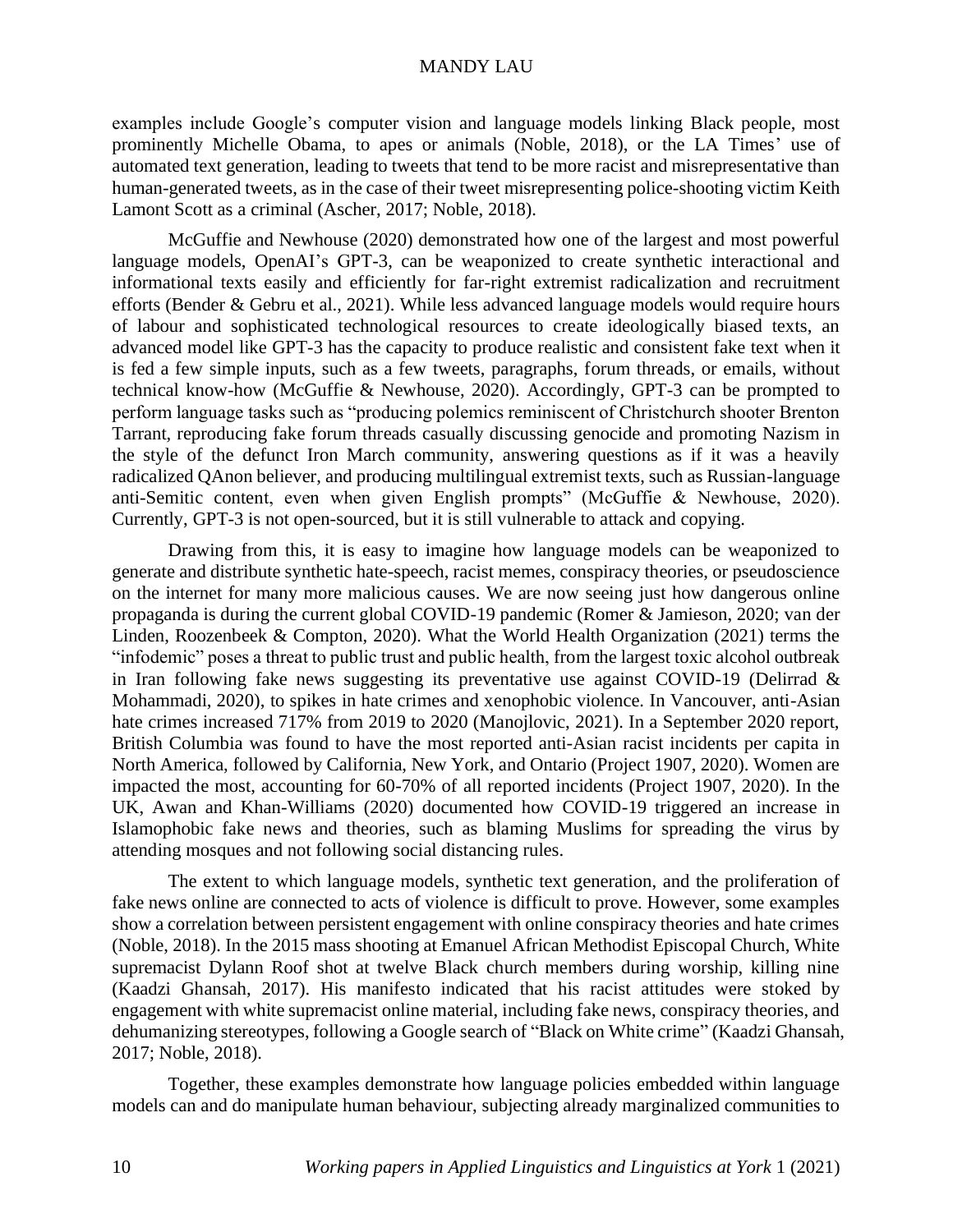examples include Google's computer vision and language models linking Black people, most prominently Michelle Obama, to apes or animals (Noble, 2018), or the LA Times' use of automated text generation, leading to tweets that tend to be more racist and misrepresentative than human-generated tweets, as in the case of their tweet misrepresenting police-shooting victim Keith Lamont Scott as a criminal (Ascher, 2017; Noble, 2018).

McGuffie and Newhouse (2020) demonstrated how one of the largest and most powerful language models, OpenAI's GPT-3, can be weaponized to create synthetic interactional and informational texts easily and efficiently for far-right extremist radicalization and recruitment efforts (Bender & Gebru et al., 2021). While less advanced language models would require hours of labour and sophisticated technological resources to create ideologically biased texts, an advanced model like GPT-3 has the capacity to produce realistic and consistent fake text when it is fed a few simple inputs, such as a few tweets, paragraphs, forum threads, or emails, without technical know-how (McGuffie & Newhouse, 2020). Accordingly, GPT-3 can be prompted to perform language tasks such as "producing polemics reminiscent of Christchurch shooter Brenton Tarrant, reproducing fake forum threads casually discussing genocide and promoting Nazism in the style of the defunct Iron March community, answering questions as if it was a heavily radicalized QAnon believer, and producing multilingual extremist texts, such as Russian-language anti-Semitic content, even when given English prompts" (McGuffie & Newhouse, 2020). Currently, GPT-3 is not open-sourced, but it is still vulnerable to attack and copying.

Drawing from this, it is easy to imagine how language models can be weaponized to generate and distribute synthetic hate-speech, racist memes, conspiracy theories, or pseudoscience on the internet for many more malicious causes. We are now seeing just how dangerous online propaganda is during the current global COVID-19 pandemic (Romer & Jamieson, 2020; van der Linden, Roozenbeek & Compton, 2020). What the World Health Organization (2021) terms the "infodemic" poses a threat to public trust and public health, from the largest toxic alcohol outbreak in Iran following fake news suggesting its preventative use against COVID-19 (Delirrad & Mohammadi, 2020), to spikes in hate crimes and xenophobic violence. In Vancouver, anti-Asian hate crimes increased 717% from 2019 to 2020 (Manojlovic, 2021). In a September 2020 report, British Columbia was found to have the most reported anti-Asian racist incidents per capita in North America, followed by California, New York, and Ontario (Project 1907, 2020). Women are impacted the most, accounting for 60-70% of all reported incidents (Project 1907, 2020). In the UK, Awan and Khan-Williams (2020) documented how COVID-19 triggered an increase in Islamophobic fake news and theories, such as blaming Muslims for spreading the virus by attending mosques and not following social distancing rules.

The extent to which language models, synthetic text generation, and the proliferation of fake news online are connected to acts of violence is difficult to prove. However, some examples show a correlation between persistent engagement with online conspiracy theories and hate crimes (Noble, 2018). In the 2015 mass shooting at Emanuel African Methodist Episcopal Church, White supremacist Dylann Roof shot at twelve Black church members during worship, killing nine (Kaadzi Ghansah, 2017). His manifesto indicated that his racist attitudes were stoked by engagement with white supremacist online material, including fake news, conspiracy theories, and dehumanizing stereotypes, following a Google search of "Black on White crime" (Kaadzi Ghansah, 2017; Noble, 2018).

Together, these examples demonstrate how language policies embedded within language models can and do manipulate human behaviour, subjecting already marginalized communities to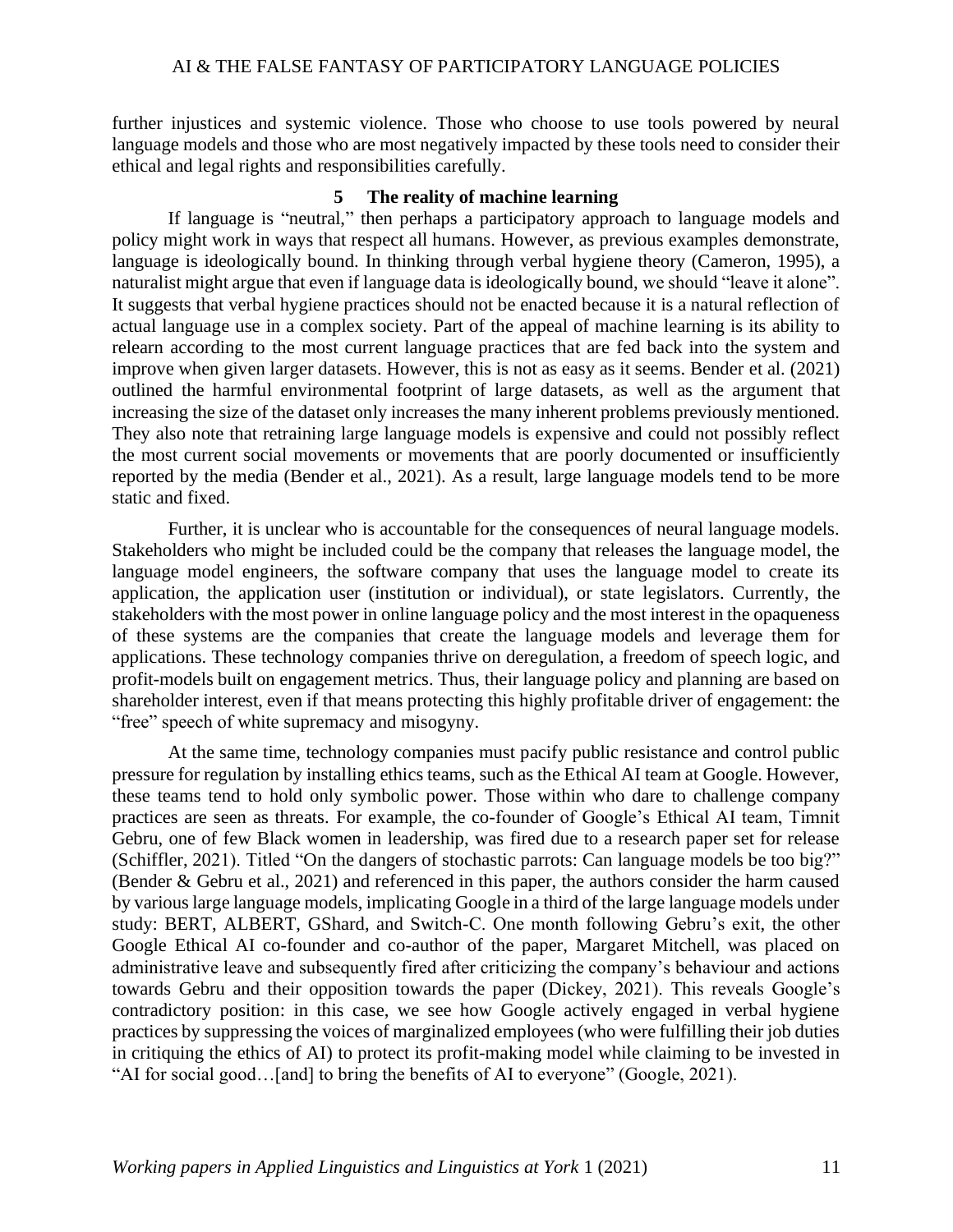further injustices and systemic violence. Those who choose to use tools powered by neural language models and those who are most negatively impacted by these tools need to consider their ethical and legal rights and responsibilities carefully.

#### **5 The reality of machine learning**

If language is "neutral," then perhaps a participatory approach to language models and policy might work in ways that respect all humans. However, as previous examples demonstrate, language is ideologically bound. In thinking through verbal hygiene theory (Cameron, 1995), a naturalist might argue that even if language data is ideologically bound, we should "leave it alone". It suggests that verbal hygiene practices should not be enacted because it is a natural reflection of actual language use in a complex society. Part of the appeal of machine learning is its ability to relearn according to the most current language practices that are fed back into the system and improve when given larger datasets. However, this is not as easy as it seems. Bender et al. (2021) outlined the harmful environmental footprint of large datasets, as well as the argument that increasing the size of the dataset only increases the many inherent problems previously mentioned. They also note that retraining large language models is expensive and could not possibly reflect the most current social movements or movements that are poorly documented or insufficiently reported by the media (Bender et al., 2021). As a result, large language models tend to be more static and fixed.

Further, it is unclear who is accountable for the consequences of neural language models. Stakeholders who might be included could be the company that releases the language model, the language model engineers, the software company that uses the language model to create its application, the application user (institution or individual), or state legislators. Currently, the stakeholders with the most power in online language policy and the most interest in the opaqueness of these systems are the companies that create the language models and leverage them for applications. These technology companies thrive on deregulation, a freedom of speech logic, and profit-models built on engagement metrics. Thus, their language policy and planning are based on shareholder interest, even if that means protecting this highly profitable driver of engagement: the "free" speech of white supremacy and misogyny.

At the same time, technology companies must pacify public resistance and control public pressure for regulation by installing ethics teams, such as the Ethical AI team at Google. However, these teams tend to hold only symbolic power. Those within who dare to challenge company practices are seen as threats. For example, the co-founder of Google's Ethical AI team, Timnit Gebru, one of few Black women in leadership, was fired due to a research paper set for release (Schiffler, 2021). Titled "On the dangers of stochastic parrots: Can language models be too big?" (Bender & Gebru et al., 2021) and referenced in this paper, the authors consider the harm caused by various large language models, implicating Google in a third of the large language models under study: BERT, ALBERT, GShard, and Switch-C. One month following Gebru's exit, the other Google Ethical AI co-founder and co-author of the paper, Margaret Mitchell, was placed on administrative leave and subsequently fired after criticizing the company's behaviour and actions towards Gebru and their opposition towards the paper (Dickey, 2021). This reveals Google's contradictory position: in this case, we see how Google actively engaged in verbal hygiene practices by suppressing the voices of marginalized employees (who were fulfilling their job duties in critiquing the ethics of AI) to protect its profit-making model while claiming to be invested in "AI for social good…[and] to bring the benefits of AI to everyone" (Google, 2021).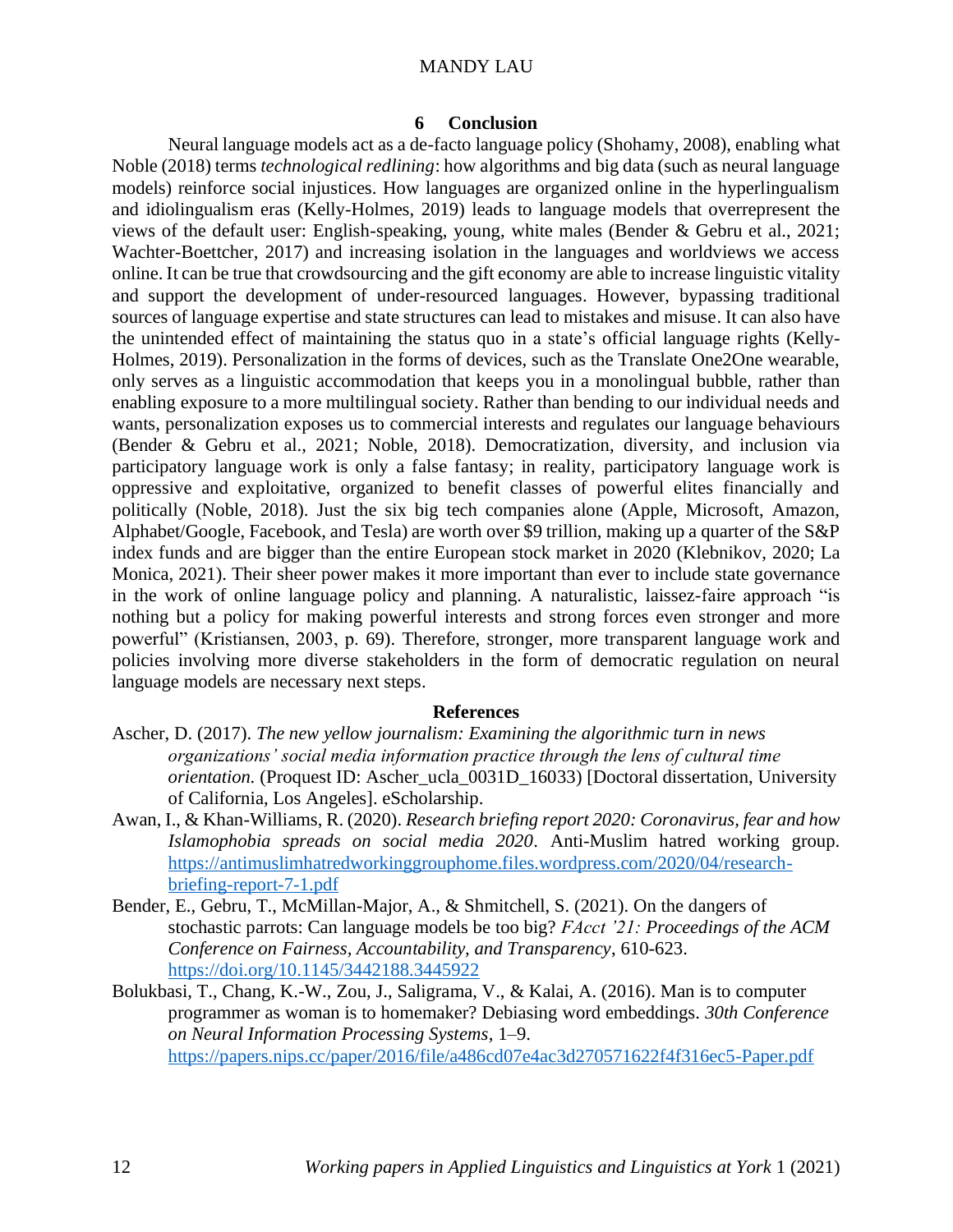#### **6 Conclusion**

Neural language models act as a de-facto language policy (Shohamy, 2008), enabling what Noble (2018) terms *technological redlining*: how algorithms and big data (such as neural language models) reinforce social injustices. How languages are organized online in the hyperlingualism and idiolingualism eras (Kelly-Holmes, 2019) leads to language models that overrepresent the views of the default user: English-speaking, young, white males (Bender & Gebru et al., 2021; Wachter-Boettcher, 2017) and increasing isolation in the languages and worldviews we access online. It can be true that crowdsourcing and the gift economy are able to increase linguistic vitality and support the development of under-resourced languages. However, bypassing traditional sources of language expertise and state structures can lead to mistakes and misuse. It can also have the unintended effect of maintaining the status quo in a state's official language rights (Kelly-Holmes, 2019). Personalization in the forms of devices, such as the Translate One2One wearable, only serves as a linguistic accommodation that keeps you in a monolingual bubble, rather than enabling exposure to a more multilingual society. Rather than bending to our individual needs and wants, personalization exposes us to commercial interests and regulates our language behaviours (Bender & Gebru et al., 2021; Noble, 2018). Democratization, diversity, and inclusion via participatory language work is only a false fantasy; in reality, participatory language work is oppressive and exploitative, organized to benefit classes of powerful elites financially and politically (Noble, 2018). Just the six big tech companies alone (Apple, Microsoft, Amazon, Alphabet/Google, Facebook, and Tesla) are worth over \$9 trillion, making up a quarter of the S&P index funds and are bigger than the entire European stock market in 2020 (Klebnikov, 2020; La Monica, 2021). Their sheer power makes it more important than ever to include state governance in the work of online language policy and planning. A naturalistic, laissez-faire approach "is nothing but a policy for making powerful interests and strong forces even stronger and more powerful" (Kristiansen, 2003, p. 69). Therefore, stronger, more transparent language work and policies involving more diverse stakeholders in the form of democratic regulation on neural language models are necessary next steps.

#### **References**

- Ascher, D. (2017). *The new yellow journalism: Examining the algorithmic turn in news organizations' social media information practice through the lens of cultural time orientation.* (Proquest ID: Ascher\_ucla\_0031D\_16033) [Doctoral dissertation, University of California, Los Angeles]. eScholarship.
- Awan, I., & Khan-Williams, R. (2020). *Research briefing report 2020: Coronavirus, fear and how Islamophobia spreads on social media 2020*. Anti-Muslim hatred working group. [https://antimuslimhatredworkinggrouphome.files.wordpress.com/2020/04/research](https://antimuslimhatredworkinggrouphome.files.wordpress.com/2020/04/research-briefing-report-7-1.pdf)[briefing-report-7-1.pdf](https://antimuslimhatredworkinggrouphome.files.wordpress.com/2020/04/research-briefing-report-7-1.pdf)
- Bender, E., Gebru, T., McMillan-Major, A., & Shmitchell, S. (2021). On the dangers of stochastic parrots: Can language models be too big? *FAcct '21: Proceedings of the ACM Conference on Fairness, Accountability, and Transparency*, 610-623. <https://doi.org/10.1145/3442188.3445922>
- Bolukbasi, T., Chang, K.-W., Zou, J., Saligrama, V., & Kalai, A. (2016). Man is to computer programmer as woman is to homemaker? Debiasing word embeddings. *30th Conference on Neural Information Processing Systems*, 1–9. <https://papers.nips.cc/paper/2016/file/a486cd07e4ac3d270571622f4f316ec5-Paper.pdf>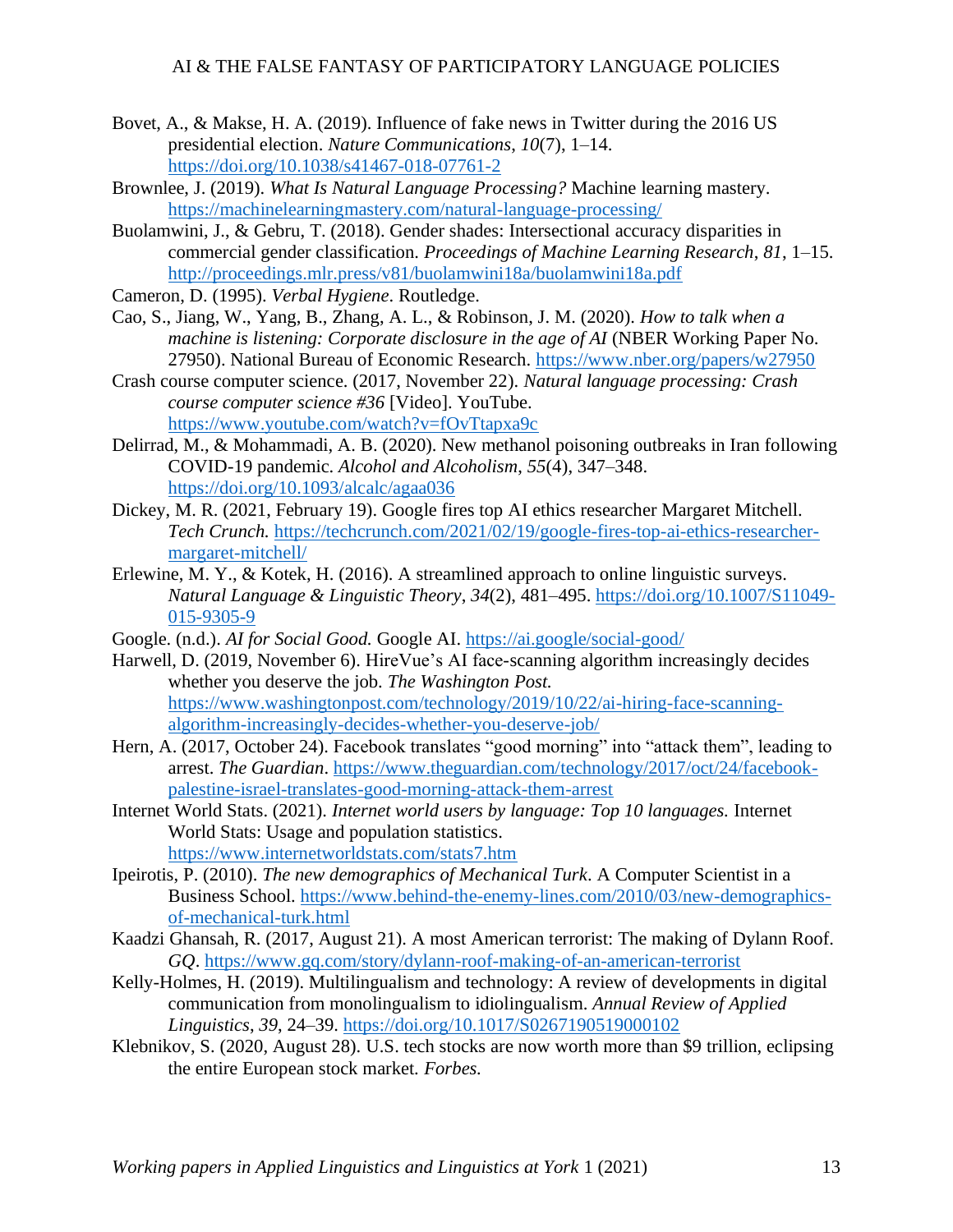- Bovet, A., & Makse, H. A. (2019). Influence of fake news in Twitter during the 2016 US presidential election. *Nature Communications*, *10*(7), 1–14. <https://doi.org/10.1038/s41467-018-07761-2>
- Brownlee, J. (2019). *What Is Natural Language Processing?* Machine learning mastery. <https://machinelearningmastery.com/natural-language-processing/>
- Buolamwini, J., & Gebru, T. (2018). Gender shades: Intersectional accuracy disparities in commercial gender classification. *Proceedings of Machine Learning Research*, *81*, 1–15. <http://proceedings.mlr.press/v81/buolamwini18a/buolamwini18a.pdf>
- Cameron, D. (1995). *Verbal Hygiene*. Routledge.
- Cao, S., Jiang, W., Yang, B., Zhang, A. L., & Robinson, J. M. (2020). *How to talk when a machine is listening: Corporate disclosure in the age of AI* (NBER Working Paper No. 27950). National Bureau of Economic Research.<https://www.nber.org/papers/w27950>
- Crash course computer science. (2017, November 22). *Natural language processing: Crash course computer science #36* [Video]. YouTube. <https://www.youtube.com/watch?v=fOvTtapxa9c>
- Delirrad, M., & Mohammadi, A. B. (2020). New methanol poisoning outbreaks in Iran following COVID-19 pandemic. *Alcohol and Alcoholism*, *55*(4), 347–348. <https://doi.org/10.1093/alcalc/agaa036>
- Dickey, M. R. (2021, February 19). Google fires top AI ethics researcher Margaret Mitchell. *Tech Crunch.* [https://techcrunch.com/2021/02/19/google-fires-top-ai-ethics-researcher](https://techcrunch.com/2021/02/19/google-fires-top-ai-ethics-researcher-margaret-mitchell/)[margaret-mitchell/](https://techcrunch.com/2021/02/19/google-fires-top-ai-ethics-researcher-margaret-mitchell/)
- Erlewine, M. Y., & Kotek, H. (2016). A streamlined approach to online linguistic surveys. *Natural Language & Linguistic Theory*, *34*(2), 481–495. [https://doi.org/10.1007/S11049-](https://doi.org/10.1007/S11049-015-9305-9) [015-9305-9](https://doi.org/10.1007/S11049-015-9305-9)
- Google. (n.d.). *AI for Social Good.* Google AI.<https://ai.google/social-good/>
- Harwell, D. (2019, November 6). HireVue's AI face-scanning algorithm increasingly decides whether you deserve the job. *The Washington Post.* [https://www.washingtonpost.com/technology/2019/10/22/ai-hiring-face-scanning](https://www.washingtonpost.com/technology/2019/10/22/ai-hiring-face-scanning-algorithm-increasingly-decides-whether-you-deserve-job/)[algorithm-increasingly-decides-whether-you-deserve-job/](https://www.washingtonpost.com/technology/2019/10/22/ai-hiring-face-scanning-algorithm-increasingly-decides-whether-you-deserve-job/)
- Hern, A. (2017, October 24). Facebook translates "good morning" into "attack them", leading to arrest. *The Guardian*. [https://www.theguardian.com/technology/2017/oct/24/facebook](https://www.theguardian.com/technology/2017/oct/24/facebook-palestine-israel-translates-good-morning-attack-them-arrest)[palestine-israel-translates-good-morning-attack-them-arrest](https://www.theguardian.com/technology/2017/oct/24/facebook-palestine-israel-translates-good-morning-attack-them-arrest)
- Internet World Stats. (2021). *Internet world users by language: Top 10 languages.* Internet World Stats: Usage and population statistics. <https://www.internetworldstats.com/stats7.htm>
- Ipeirotis, P. (2010). *The new demographics of Mechanical Turk*. A Computer Scientist in a Business School. [https://www.behind-the-enemy-lines.com/2010/03/new-demographics](https://www.behind-the-enemy-lines.com/2010/03/new-demographics-of-mechanical-turk.html)[of-mechanical-turk.html](https://www.behind-the-enemy-lines.com/2010/03/new-demographics-of-mechanical-turk.html)
- Kaadzi Ghansah, R. (2017, August 21). A most American terrorist: The making of Dylann Roof. *GQ*.<https://www.gq.com/story/dylann-roof-making-of-an-american-terrorist>
- Kelly-Holmes, H. (2019). Multilingualism and technology: A review of developments in digital communication from monolingualism to idiolingualism. *Annual Review of Applied Linguistics*, *39*, 24–39.<https://doi.org/10.1017/S0267190519000102>
- Klebnikov, S. (2020, August 28). U.S. tech stocks are now worth more than \$9 trillion, eclipsing the entire European stock market. *Forbes.*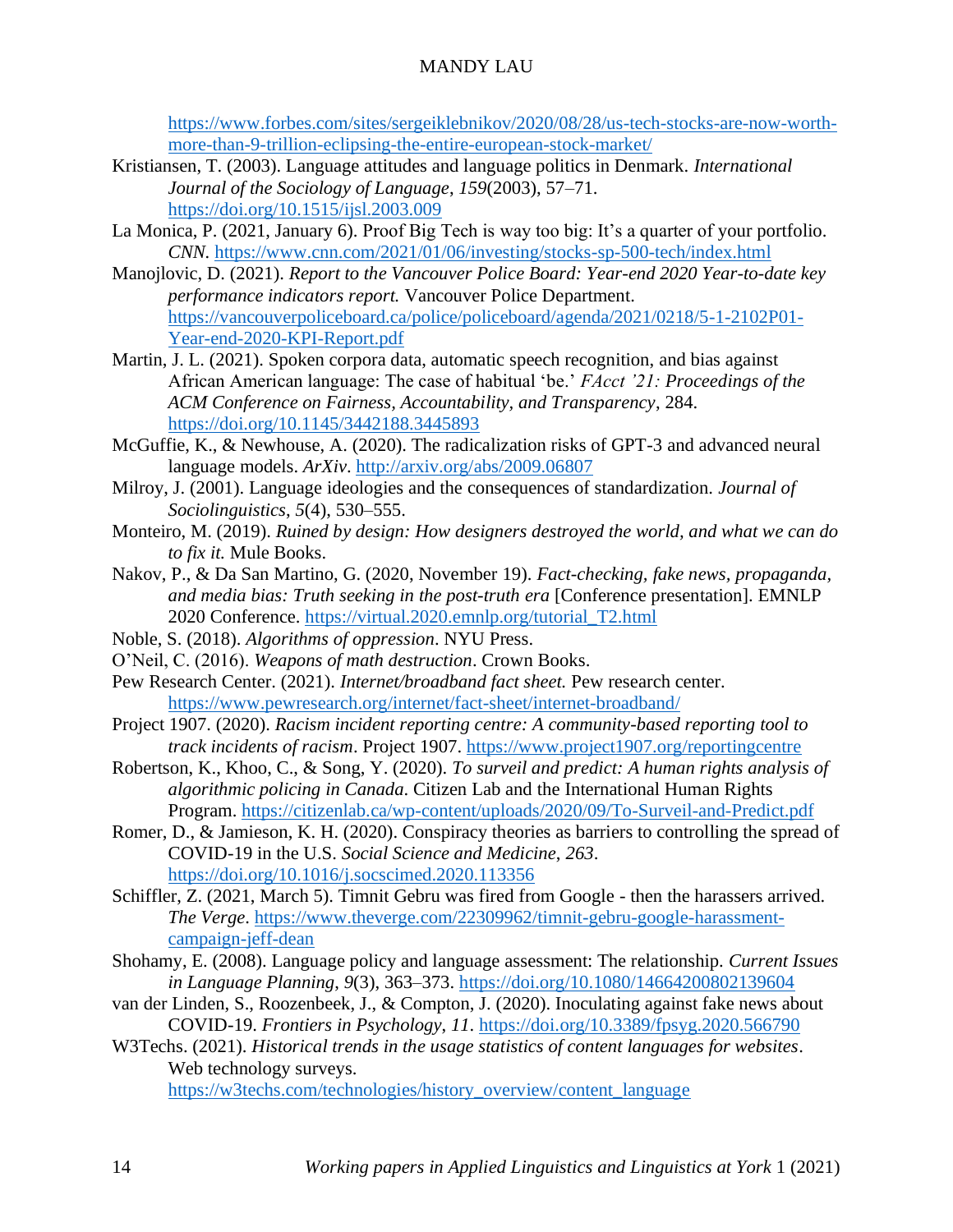[https://www.forbes.com/sites/sergeiklebnikov/2020/08/28/us-tech-stocks-are-now-worth](https://www.forbes.com/sites/sergeiklebnikov/2020/08/28/us-tech-stocks-are-now-worth-more-than-9-trillion-eclipsing-the-entire-european-stock-market/)[more-than-9-trillion-eclipsing-the-entire-european-stock-market/](https://www.forbes.com/sites/sergeiklebnikov/2020/08/28/us-tech-stocks-are-now-worth-more-than-9-trillion-eclipsing-the-entire-european-stock-market/)

- Kristiansen, T. (2003). Language attitudes and language politics in Denmark. *International Journal of the Sociology of Language*, *159*(2003), 57–71. <https://doi.org/10.1515/ijsl.2003.009>
- La Monica, P. (2021, January 6). Proof Big Tech is way too big: It's a quarter of your portfolio. *CNN.* <https://www.cnn.com/2021/01/06/investing/stocks-sp-500-tech/index.html>
- Manojlovic, D. (2021). *Report to the Vancouver Police Board: Year-end 2020 Year-to-date key performance indicators report.* Vancouver Police Department. [https://vancouverpoliceboard.ca/police/policeboard/agenda/2021/0218/5-1-2102P01-](https://vancouverpoliceboard.ca/police/policeboard/agenda/2021/0218/5-1-2102P01-Year-end-2020-KPI-Report.pdf) [Year-end-2020-KPI-Report.pdf](https://vancouverpoliceboard.ca/police/policeboard/agenda/2021/0218/5-1-2102P01-Year-end-2020-KPI-Report.pdf)
- Martin, J. L. (2021). Spoken corpora data, automatic speech recognition, and bias against African American language: The case of habitual 'be.' *FAcct '21: Proceedings of the ACM Conference on Fairness, Accountability, and Transparency*, 284. <https://doi.org/10.1145/3442188.3445893>
- McGuffie, K., & Newhouse, A. (2020). The radicalization risks of GPT-3 and advanced neural language models. *ArXiv*.<http://arxiv.org/abs/2009.06807>
- Milroy, J. (2001). Language ideologies and the consequences of standardization. *Journal of Sociolinguistics*, *5*(4), 530–555.
- Monteiro, M. (2019). *Ruined by design: How designers destroyed the world, and what we can do to fix it.* Mule Books.
- Nakov, P., & Da San Martino, G. (2020, November 19). *Fact-checking, fake news, propaganda, and media bias: Truth seeking in the post-truth era* [Conference presentation]. EMNLP 2020 Conference. [https://virtual.2020.emnlp.org/tutorial\\_T2.html](https://virtual.2020.emnlp.org/tutorial_T2.html)
- Noble, S. (2018). *Algorithms of oppression*. NYU Press.
- O'Neil, C. (2016). *Weapons of math destruction*. Crown Books.
- Pew Research Center. (2021). *Internet/broadband fact sheet.* Pew research center. <https://www.pewresearch.org/internet/fact-sheet/internet-broadband/>
- Project 1907. (2020). *Racism incident reporting centre: A community-based reporting tool to track incidents of racism*. Project 1907.<https://www.project1907.org/reportingcentre>
- Robertson, K., Khoo, C., & Song, Y. (2020). *To surveil and predict: A human rights analysis of algorithmic policing in Canada*. Citizen Lab and the International Human Rights Program.<https://citizenlab.ca/wp-content/uploads/2020/09/To-Surveil-and-Predict.pdf>
- Romer, D., & Jamieson, K. H. (2020). Conspiracy theories as barriers to controlling the spread of COVID-19 in the U.S. *Social Science and Medicine*, *263*. <https://doi.org/10.1016/j.socscimed.2020.113356>
- Schiffler, Z. (2021, March 5). Timnit Gebru was fired from Google then the harassers arrived. *The Verge*. [https://www.theverge.com/22309962/timnit-gebru-google-harassment](https://www.theverge.com/22309962/timnit-gebru-google-harassment-campaign-jeff-dean)[campaign-jeff-dean](https://www.theverge.com/22309962/timnit-gebru-google-harassment-campaign-jeff-dean)
- Shohamy, E. (2008). Language policy and language assessment: The relationship. *Current Issues in Language Planning*, *9*(3), 363–373.<https://doi.org/10.1080/14664200802139604>
- van der Linden, S., Roozenbeek, J., & Compton, J. (2020). Inoculating against fake news about COVID-19. *Frontiers in Psychology*, *11*.<https://doi.org/10.3389/fpsyg.2020.566790>
- W3Techs. (2021). *Historical trends in the usage statistics of content languages for websites*. Web technology surveys.

[https://w3techs.com/technologies/history\\_overview/content\\_language](https://w3techs.com/technologies/history_overview/content_language)